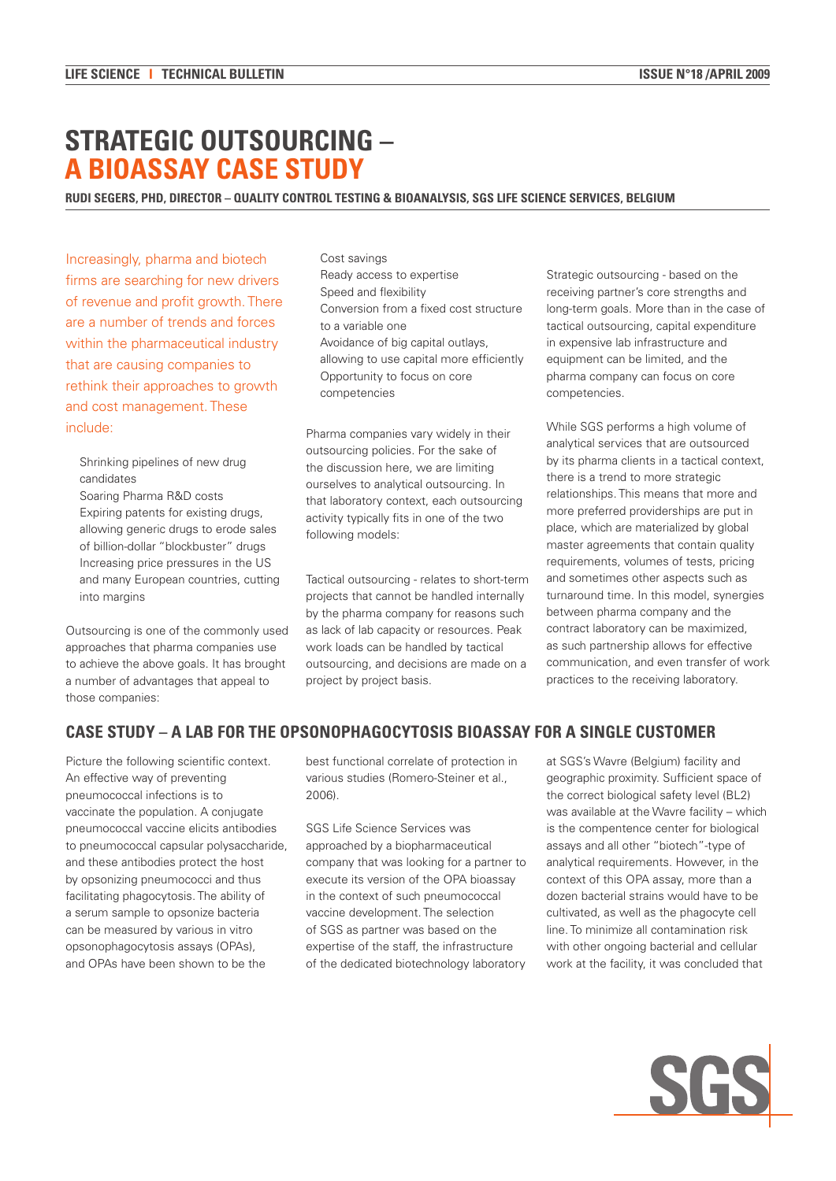# **STRATEGIC OUTSOURCING – A BIOASSAY CASE STUDY**

#### **Rudi Segers, PhD, Director – Quality Control Testing & Bioanalysis, SGS Life Science Services, Belgium**

Increasingly, pharma and biotech firms are searching for new drivers of revenue and profit growth. There are a number of trends and forces within the pharmaceutical industry that are causing companies to rethink their approaches to growth and cost management. These include:

Shrinking pipelines of new drug candidates

Soaring Pharma R&D costs Expiring patents for existing drugs, allowing generic drugs to erode sales of billion-dollar "blockbuster" drugs Increasing price pressures in the US and many European countries, cutting into margins

Outsourcing is one of the commonly used approaches that pharma companies use to achieve the above goals. It has brought a number of advantages that appeal to those companies:

Cost savings Ready access to expertise Speed and flexibility Conversion from a fixed cost structure to a variable one Avoidance of big capital outlays, allowing to use capital more efficiently Opportunity to focus on core competencies

Pharma companies vary widely in their outsourcing policies. For the sake of the discussion here, we are limiting ourselves to analytical outsourcing. In that laboratory context, each outsourcing activity typically fits in one of the two following models:

Tactical outsourcing - relates to short-term projects that cannot be handled internally by the pharma company for reasons such as lack of lab capacity or resources. Peak work loads can be handled by tactical outsourcing, and decisions are made on a project by project basis.

Strategic outsourcing - based on the receiving partner's core strengths and long-term goals. More than in the case of tactical outsourcing, capital expenditure in expensive lab infrastructure and equipment can be limited, and the pharma company can focus on core competencies.

While SGS performs a high volume of analytical services that are outsourced by its pharma clients in a tactical context, there is a trend to more strategic relationships. This means that more and more preferred providerships are put in place, which are materialized by global master agreements that contain quality requirements, volumes of tests, pricing and sometimes other aspects such as turnaround time. In this model, synergies between pharma company and the contract laboratory can be maximized, as such partnership allows for effective communication, and even transfer of work practices to the receiving laboratory.

## **Case study – a lab for the opsonophagocytosis bioassay for a single customer**

Picture the following scientific context. An effective way of preventing pneumococcal infections is to vaccinate the population. A conjugate pneumococcal vaccine elicits antibodies to pneumococcal capsular polysaccharide, and these antibodies protect the host by opsonizing pneumococci and thus facilitating phagocytosis. The ability of a serum sample to opsonize bacteria can be measured by various in vitro opsonophagocytosis assays (OPAs), and OPAs have been shown to be the

best functional correlate of protection in various studies (Romero-Steiner et al., 2006).

SGS Life Science Services was approached by a biopharmaceutical company that was looking for a partner to execute its version of the OPA bioassay in the context of such pneumococcal vaccine development. The selection of SGS as partner was based on the expertise of the staff, the infrastructure of the dedicated biotechnology laboratory at SGS's Wavre (Belgium) facility and geographic proximity. Sufficient space of the correct biological safety level (BL2) was available at the Wavre facility – which is the compentence center for biological assays and all other "biotech"-type of analytical requirements. However, in the context of this OPA assay, more than a dozen bacterial strains would have to be cultivated, as well as the phagocyte cell line. To minimize all contamination risk with other ongoing bacterial and cellular work at the facility, it was concluded that